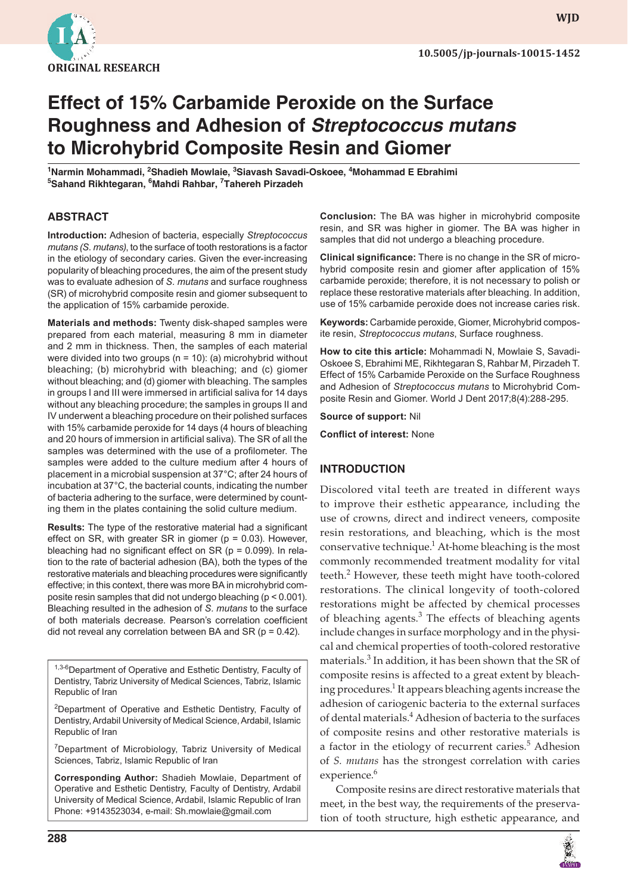

**WJD**

# **Effect of 15% Carbamide Peroxide on the Surface Roughness and Adhesion of** *Streptococcus mutans* **to Microhybrid Composite Resin and Giomer**

<sup>1</sup>Narmin Mohammadi, <sup>2</sup>Shadieh Mowlaie, <sup>3</sup>Siavash Savadi-Oskoee, <sup>4</sup>Mohammad E Ebrahimi **5 Sahand Rikhtegaran, 6 Mahdi Rahbar, 7 Tahereh Pirzadeh** 

#### **ABSTRACT**

**Introduction:** Adhesion of bacteria, especially *Streptococcus mutans (S. mutans)* , to the surface of tooth restorations is a factor in the etiology of secondary caries. Given the ever-increasing popularity of bleaching procedures, the aim of the present study was to evaluate adhesion of *S. mutans* and surface roughness (SR) of microhybrid composite resin and giomer subsequent to the application of 15% carbamide peroxide.

**Materials and methods:** Twenty disk-shaped samples were prepared from each material, measuring 8 mm in diameter and 2 mm in thickness. Then, the samples of each material were divided into two groups ( $n = 10$ ): (a) microhybrid without bleaching; (b) microhybrid with bleaching; and (c) giomer without bleaching; and (d) giomer with bleaching. The samples in groups I and III were immersed in artificial saliva for 14 days without any bleaching procedure; the samples in groups II and IV underwent a bleaching procedure on their polished surfaces with 15% carbamide peroxide for 14 days (4 hours of bleaching and 20 hours of immersion in artificial saliva). The SR of all the samples was determined with the use of a profilometer. The samples were added to the culture medium after 4 hours of placement in a microbial suspension at 37°C; after 24 hours of incubation at 37°C, the bacterial counts, indicating the number of bacteria adhering to the surface, were determined by counting them in the plates containing the solid culture medium.

**Results:** The type of the restorative material had a significant effect on SR, with greater SR in giomer ( $p = 0.03$ ). However, bleaching had no significant effect on  $SR$  (p = 0.099). In relation to the rate of bacterial adhesion (BA), both the types of the restorative materials and bleaching procedures were significantly effective; in this context, there was more BA in microhybrid composite resin samples that did not undergo bleaching (p < 0.001). Bleaching resulted in the adhesion of *S. mutans* to the surface of both materials decrease. Pearson's correlation coefficient did not reveal any correlation between BA and SR ( $p = 0.42$ ).

1,3-6 Department of Operative and Esthetic Dentistry, Faculty of Dentistry, Tabriz University of Medical Sciences, Tabriz, Islamic Republic of Iran

<sup>2</sup>Department of Operative and Esthetic Dentistry, Faculty of Dentistry, Ardabil University of Medical Science, Ardabil, Islamic Republic of Iran

<sup>7</sup>Department of Microbiology, Tabriz University of Medical Sciences, Tabriz, Islamic Republic of Iran

**Corresponding Author:** Shadieh Mowlaie, Department of Operative and Esthetic Dentistry, Faculty of Dentistry, Ardabil University of Medical Science, Ardabil, Islamic Republic of Iran Phone: +9143523034, e-mail: Sh.mowlaie@gmail.com

**Conclusion:** The BA was higher in microhybrid composite resin, and SR was higher in giomer. The BA was higher in samples that did not undergo a bleaching procedure.

**Clinical significance:** There is no change in the SR of microhybrid composite resin and giomer after application of 15% carbamide peroxide; therefore, it is not necessary to polish or replace these restorative materials after bleaching. In addition, use of 15% carbamide peroxide does not increase caries risk.

**Keywords:** Carbamide peroxide, Giomer, Microhybrid composite resin, *Streptococcus mutans* , Surface roughness.

**How to cite this article:** Mohammadi N, Mowlaie S, Savadi-Oskoee S, Ebrahimi ME, Rikhtegaran S, Rahbar M, Pirzadeh T. Effect of 15% Carbamide Peroxide on the Surface Roughness and Adhesion of *Streptococcus mutans* to Microhybrid Composite Resin and Giomer. World J Dent 2017;8(4):288-295.

**Source of support:** Nil

**Conflict of interest: None** 

#### **INTRODUCTION**

 Discolored vital teeth are treated in different ways to improve their esthetic appearance, including the use of crowns, direct and indirect veneers, composite resin restorations, and bleaching, which is the most conservative technique.<sup>1</sup> At-home bleaching is the most commonly recommended treatment modality for vital teeth.<sup>2</sup> However, these teeth might have tooth-colored restorations. The clinical longevity of tooth-colored restorations might be affected by chemical processes of bleaching agents. $3$  The effects of bleaching agents include changes in surface morphology and in the physical and chemical properties of tooth-colored restorative materials.<sup>3</sup> In addition, it has been shown that the SR of composite resins is affected to a great extent by bleaching procedures.<sup>1</sup> It appears bleaching agents increase the adhesion of cariogenic bacteria to the external surfaces of dental materials.<sup>4</sup> Adhesion of bacteria to the surfaces of composite resins and other restorative materials is a factor in the etiology of recurrent caries.<sup>5</sup> Adhesion of *S. mutans* has the strongest correlation with caries experience.<sup>6</sup>

 Composite resins are direct restorative materials that meet, in the best way, the requirements of the preservation of tooth structure, high esthetic appearance, and

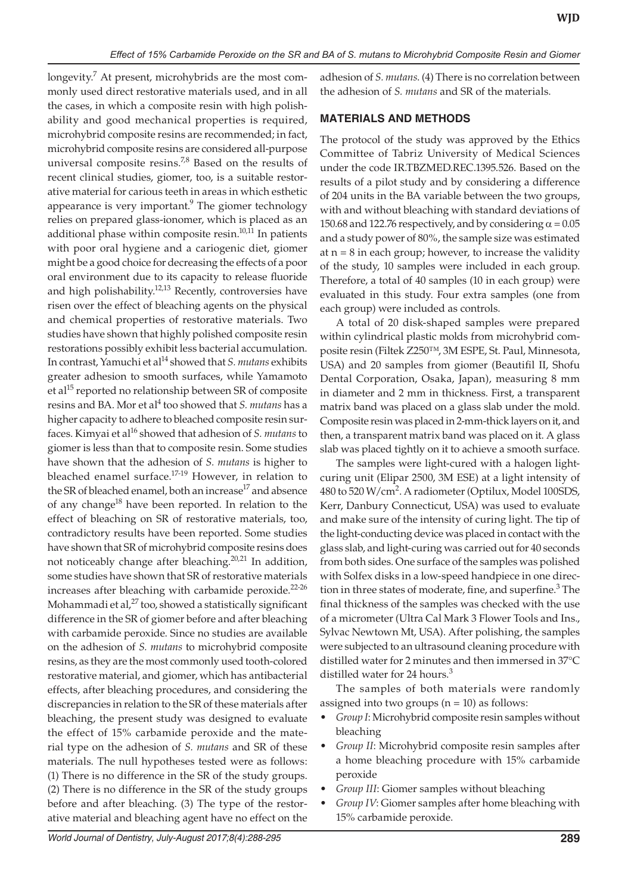longevity.<sup>7</sup> At present, microhybrids are the most commonly used direct restorative materials used, and in all the cases, in which a composite resin with high polishability and good mechanical properties is required, microhybrid composite resins are recommended; in fact, microhybrid composite resins are considered all-purpose universal composite resins.<sup>7,8</sup> Based on the results of recent clinical studies, giomer, too, is a suitable restorative material for carious teeth in areas in which esthetic appearance is very important. $9$  The giomer technology relies on prepared glass-ionomer, which is placed as an additional phase within composite resin.<sup>10,11</sup> In patients with poor oral hygiene and a cariogenic diet, giomer might be a good choice for decreasing the effects of a poor oral environment due to its capacity to release fluoride and high polishability. $12,13$  Recently, controversies have risen over the effect of bleaching agents on the physical and chemical properties of restorative materials. Two studies have shown that highly polished composite resin restorations possibly exhibit less bacterial accumulation. In contrast, Yamuchi et al14 showed that *S. mutans* exhibits greater adhesion to smooth surfaces, while Yamamoto et al<sup>15</sup> reported no relationship between SR of composite resins and BA. Mor et al<sup>4</sup> too showed that *S. mutans* has a higher capacity to adhere to bleached composite resin surfaces. Kimyai et al<sup>16</sup> showed that adhesion of *S. mutans* to giomer is less than that to composite resin. Some studies have shown that the adhesion of *S. mutans* is higher to bleached enamel surface.<sup>17-19</sup> However, in relation to the SR of bleached enamel, both an increase<sup>17</sup> and absence of any change $18$  have been reported. In relation to the effect of bleaching on SR of restorative materials, too, contradictory results have been reported. Some studies have shown that SR of microhybrid composite resins does not noticeably change after bleaching.<sup>20,21</sup> In addition, some studies have shown that SR of restorative materials increases after bleaching with carbamide peroxide. $22-26$ Mohammadi et al, $27$  too, showed a statistically significant difference in the SR of giomer before and after bleaching with carbamide peroxide. Since no studies are available on the adhesion of *S. mutans* to microhybrid composite resins, as they are the most commonly used tooth-colored restorative material, and giomer, which has antibacterial effects, after bleaching procedures, and considering the discrepancies in relation to the SR of these materials after bleaching, the present study was designed to evaluate the effect of 15% carbamide peroxide and the material type on the adhesion of *S. mutans* and SR of these materials. The null hypotheses tested were as follows: (1) There is no difference in the SR of the study groups. (2) There is no difference in the SR of the study groups before and after bleaching. (3) The type of the restorative material and bleaching agent have no effect on the

adhesion of *S. mutans*. (4) There is no correlation between the adhesion of *S. mutans* and SR of the materials.

#### **MATERIALS AND METHODS**

The protocol of the study was approved by the Ethics Committee of Tabriz University of Medical Sciences under the code IR.TBZMED.REC.1395.526. Based on the results of a pilot study and by considering a difference of 204 units in the BA variable between the two groups, with and without bleaching with standard deviations of 150.68 and 122.76 respectively, and by considering  $\alpha$  = 0.05 and a study power of 80%, the sample size was estimated at  $n = 8$  in each group; however, to increase the validity of the study, 10 samples were included in each group. Therefore, a total of 40 samples (10 in each group) were evaluated in this study. Four extra samples (one from each group) were included as controls.

A total of 20 disk-shaped samples were prepared within cylindrical plastic molds from microhybrid composite resin (Filtek Z250™, 3M ESPE, St. Paul, Minnesota, USA) and 20 samples from giomer (Beautifil II, Shofu Dental Corporation, Osaka, Japan), measuring 8 mm in diameter and 2 mm in thickness. First, a transparent matrix band was placed on a glass slab under the mold. Composite resin was placed in 2-mm-thick layers on it, and then, a transparent matrix band was placed on it. A glass slab was placed tightly on it to achieve a smooth surface.

The samples were light-cured with a halogen lightcuring unit (Elipar 2500, 3M ESE) at a light intensity of 480 to 520 W/cm<sup>2</sup> . A radiometer (Optilux, Model 100SDS, Kerr, Danbury Connecticut, USA) was used to evaluate and make sure of the intensity of curing light. The tip of the light-conducting device was placed in contact with the glass slab, and light-curing was carried out for 40 seconds from both sides. One surface of the samples was polished with Solfex disks in a low-speed handpiece in one direction in three states of moderate, fine, and superfine.<sup>3</sup> The final thickness of the samples was checked with the use of a micrometer (Ultra Cal Mark 3 Flower Tools and Ins., Sylvac Newtown Mt, USA). After polishing, the samples were subjected to an ultrasound cleaning procedure with distilled water for 2 minutes and then immersed in 37°C distilled water for 24 hours.<sup>3</sup>

The samples of both materials were randomly assigned into two groups  $(n = 10)$  as follows:

- *Group I*: Microhybrid composite resin samples without bleaching
- *Group II*: Microhybrid composite resin samples after a home bleaching procedure with 15% carbamide peroxide
- *Group III*: Giomer samples without bleaching
- *Group IV*: Giomer samples after home bleaching with 15% carbamide peroxide.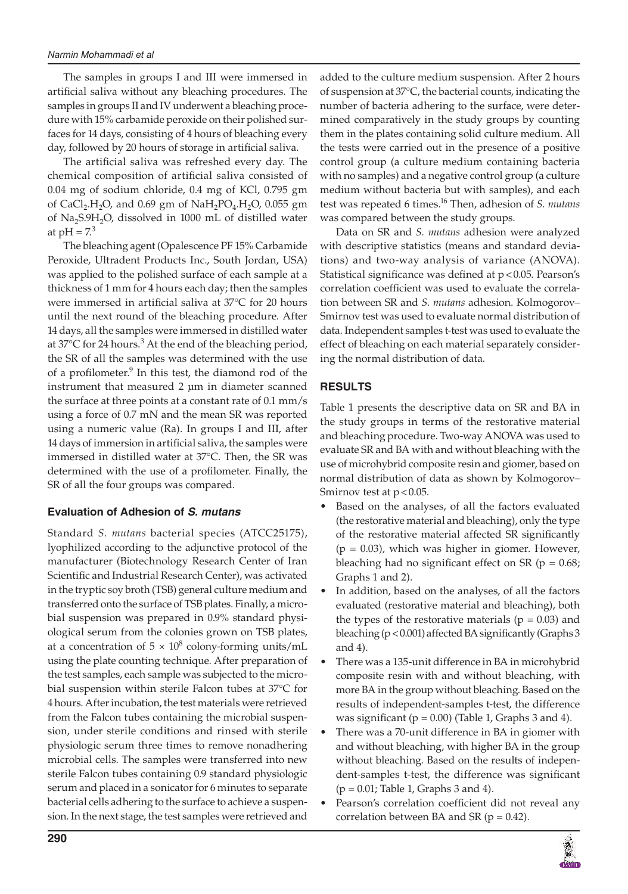The samples in groups I and III were immersed in artificial saliva without any bleaching procedures. The samples in groups II and IV underwent a bleaching procedure with 15% carbamide peroxide on their polished surfaces for 14 days, consisting of 4 hours of bleaching every day, followed by 20 hours of storage in artificial saliva.

The artificial saliva was refreshed every day. The chemical composition of artificial saliva consisted of 0.04 mg of sodium chloride, 0.4 mg of KCl, 0.795 gm of CaCl<sub>2</sub>.H<sub>2</sub>O, and 0.69 gm of NaH<sub>2</sub>PO<sub>4</sub>.H<sub>2</sub>O, 0.055 gm of Na<sub>2</sub>S.9H<sub>2</sub>O, dissolved in 1000 mL of distilled water at  $pH = 7<sup>3</sup>$ 

 The bleaching agent (Opalescence PF 15% Carbamide Peroxide, Ultradent Products Inc., South Jordan, USA) was applied to the polished surface of each sample at a thickness of 1 mm for 4 hours each day; then the samples were immersed in artificial saliva at  $37^{\circ}$ C for 20 hours until the next round of the bleaching procedure. After 14 days, all the samples were immersed in distilled water at  $37^{\circ}$ C for 24 hours.<sup>3</sup> At the end of the bleaching period, the SR of all the samples was determined with the use of a profilometer.<sup>9</sup> In this test, the diamond rod of the instrument that measured 2 μm in diameter scanned the surface at three points at a constant rate of 0.1 mm/s using a force of 0.7 mN and the mean SR was reported using a numeric value (Ra). In groups I and III, after 14 days of immersion in artificial saliva, the samples were immersed in distilled water at 37°C. Then, the SR was determined with the use of a profilometer. Finally, the SR of all the four groups was compared.

## **Evaluation of Adhesion of** *S. mutans*

Standard *S. mutans* bacterial species (ATCC25175), lyophilized according to the adjunctive protocol of the manufacturer (Biotechnology Research Center of Iran Scientific and Industrial Research Center), was activated in the tryptic soy broth (TSB) general culture medium and transferred onto the surface of TSB plates. Finally, a microbial suspension was prepared in 0.9% standard physiological serum from the colonies grown on TSB plates, at a concentration of  $5 \times 10^8$  colony-forming units/mL using the plate counting technique. After preparation of the test samples, each sample was subjected to the microbial suspension within sterile Falcon tubes at 37°C for 4 hours. After incubation, the test materials were retrieved from the Falcon tubes containing the microbial suspension, under sterile conditions and rinsed with sterile physiologic serum three times to remove nonadhering microbial cells. The samples were transferred into new sterile Falcon tubes containing 0.9 standard physiologic serum and placed in a sonicator for 6 minutes to separate bacterial cells adhering to the surface to achieve a suspension. In the next stage, the test samples were retrieved and

added to the culture medium suspension. After 2 hours of suspension at 37°C, the bacterial counts, indicating the number of bacteria adhering to the surface, were determined comparatively in the study groups by counting them in the plates containing solid culture medium. All the tests were carried out in the presence of a positive control group (a culture medium containing bacteria with no samples) and a negative control group (a culture medium without bacteria but with samples), and each test was repeated 6 times.<sup>16</sup> Then, adhesion of *S. mutans* was compared between the study groups.

 Data on SR and *S. mutans* adhesion were analyzed with descriptive statistics (means and standard deviations) and two-way analysis of variance (ANOVA). Statistical significance was defined at  $p < 0.05$ . Pearson's correlation coefficient was used to evaluate the correlation between SR and *S. mutans* adhesion. Kolmogorov– Smirnov test was used to evaluate normal distribution of data. Independent samples t-test was used to evaluate the effect of bleaching on each material separately considering the normal distribution of data.

## **RESULTS**

 Table 1 presents the descriptive data on SR and BA in the study groups in terms of the restorative material and bleaching procedure. Two-way ANOVA was used to evaluate SR and BA with and without bleaching with the use of microhybrid composite resin and giomer, based on normal distribution of data as shown by Kolmogorov– Smirnov test at  $p < 0.05$ .

- Based on the analyses, of all the factors evaluated (the restorative material and bleaching), only the type of the restorative material affected SR significantly  $(p = 0.03)$ , which was higher in giomer. However, bleaching had no significant effect on SR ( $p = 0.68$ ; Graphs 1 and 2).
- In addition, based on the analyses, of all the factors evaluated (restorative material and bleaching), both the types of the restorative materials ( $p = 0.03$ ) and bleaching ( $p < 0.001$ ) affected BA significantly (Graphs 3 and  $4$ ).
- There was a 135-unit difference in BA in microhybrid composite resin with and without bleaching, with more BA in the group without bleaching. Based on the results of independent-samples t-test, the difference was significant ( $p = 0.00$ ) (Table 1, Graphs 3 and 4).
- There was a 70-unit difference in BA in giomer with and without bleaching, with higher BA in the group without bleaching. Based on the results of independent-samples t-test, the difference was significant  $(p = 0.01;$  Table 1, Graphs 3 and 4).
- Pearson's correlation coefficient did not reveal any correlation between BA and SR ( $p = 0.42$ ).

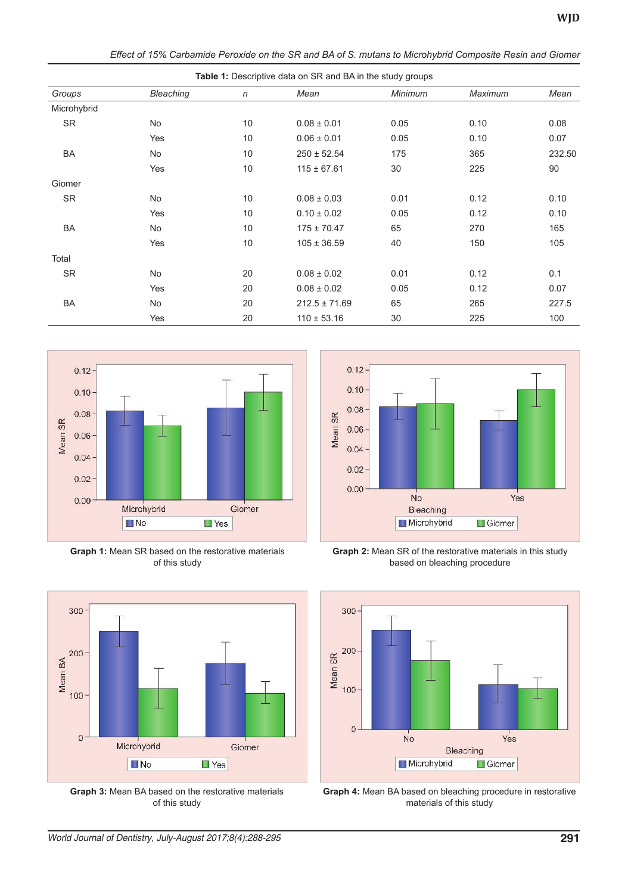| Table 1: Descriptive data on SR and BA in the study groups |                  |              |                   |         |         |        |
|------------------------------------------------------------|------------------|--------------|-------------------|---------|---------|--------|
| Groups                                                     | <b>Bleaching</b> | $\mathsf{n}$ | Mean              | Minimum | Maximum | Mean   |
| Microhybrid                                                |                  |              |                   |         |         |        |
| <b>SR</b>                                                  | No.              | 10           | $0.08 \pm 0.01$   | 0.05    | 0.10    | 0.08   |
|                                                            | Yes              | 10           | $0.06 \pm 0.01$   | 0.05    | 0.10    | 0.07   |
| <b>BA</b>                                                  | <b>No</b>        | 10           | $250 \pm 52.54$   | 175     | 365     | 232.50 |
|                                                            | Yes              | 10           | $115 \pm 67.61$   | 30      | 225     | 90     |
| Giomer                                                     |                  |              |                   |         |         |        |
| <b>SR</b>                                                  | <b>No</b>        | 10           | $0.08 \pm 0.03$   | 0.01    | 0.12    | 0.10   |
|                                                            | Yes              | 10           | $0.10 \pm 0.02$   | 0.05    | 0.12    | 0.10   |
| <b>BA</b>                                                  | <b>No</b>        | 10           | $175 \pm 70.47$   | 65      | 270     | 165    |
|                                                            | Yes              | 10           | $105 \pm 36.59$   | 40      | 150     | 105    |
| Total                                                      |                  |              |                   |         |         |        |
| <b>SR</b>                                                  | <b>No</b>        | 20           | $0.08 \pm 0.02$   | 0.01    | 0.12    | 0.1    |
|                                                            | Yes              | 20           | $0.08 \pm 0.02$   | 0.05    | 0.12    | 0.07   |
| BA                                                         | <b>No</b>        | 20           | $212.5 \pm 71.69$ | 65      | 265     | 227.5  |
|                                                            | Yes              | 20           | $110 \pm 53.16$   | 30      | 225     | 100    |

*Effect of 15% Carbamide Peroxide on the SR and BA of S. mutans to Microhybrid Composite Resin and Giomer*



**Graph 1:** Mean SR based on the restorative materials of this study



**Graph 3:** Mean BA based on the restorative materials of this study



**Graph 2:** Mean SR of the restorative materials in this study based on bleaching procedure



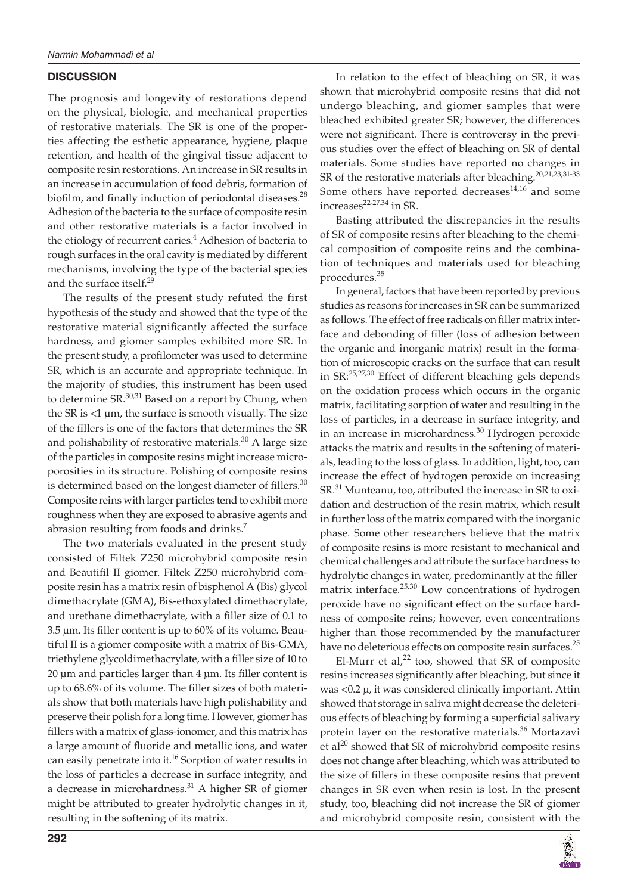### **DISCUSSION**

 The prognosis and longevity of restorations depend on the physical, biologic, and mechanical properties of restorative materials. The SR is one of the properties affecting the esthetic appearance, hygiene, plaque retention, and health of the gingival tissue adjacent to composite resin restorations. An increase in SR results in an increase in accumulation of food debris, formation of biofilm, and finally induction of periodontal diseases. $28$ Adhesion of the bacteria to the surface of composite resin and other restorative materials is a factor involved in the etiology of recurrent caries.<sup>4</sup> Adhesion of bacteria to rough surfaces in the oral cavity is mediated by different mechanisms, involving the type of the bacterial species and the surface itself.<sup>29</sup>

 The results of the present study refuted the first hypothesis of the study and showed that the type of the restorative material significantly affected the surface hardness, and giomer samples exhibited more SR. In the present study, a profilometer was used to determine SR, which is an accurate and appropriate technique. In the majority of studies, this instrument has been used to determine SR. $^{30,31}$  Based on a report by Chung, when the SR is  $<$ 1  $\mu$ m, the surface is smooth visually. The size of the fillers is one of the factors that determines the SR and polishability of restorative materials. $30$  A large size of the particles in composite resins might increase microporosities in its structure. Polishing of composite resins is determined based on the longest diameter of fillers. $30$ Composite reins with larger particles tend to exhibit more roughness when they are exposed to abrasive agents and abrasion resulting from foods and drinks.<sup>7</sup>

 The two materials evaluated in the present study consisted of Filtek Z250 microhybrid composite resin and Beautifil II giomer. Filtek Z250 microhybrid composite resin has a matrix resin of bisphenol A (Bis) glycol dimethacrylate (GMA), Bis-ethoxylated dimethacrylate, and urethane dimethacrylate, with a filler size of 0.1 to  $3.5 \,\mu$ m. Its filler content is up to  $60\%$  of its volume. Beautiful II is a giomer composite with a matrix of Bis-GMA, triethylene glycoldimethacrylate, with a filler size of 10 to  $20 \mu m$  and particles larger than  $4 \mu m$ . Its filler content is up to 68.6% of its volume. The filler sizes of both materials show that both materials have high polishability and preserve their polish for a long time. However, giomer has fillers with a matrix of glass-ionomer, and this matrix has a large amount of fluoride and metallic ions, and water can easily penetrate into it.<sup>16</sup> Sorption of water results in the loss of particles a decrease in surface integrity, and a decrease in microhardness.<sup>31</sup> A higher SR of giomer might be attributed to greater hydrolytic changes in it, resulting in the softening of its matrix.

 In relation to the effect of bleaching on SR, it was shown that microhybrid composite resins that did not undergo bleaching, and giomer samples that were bleached exhibited greater SR; however, the differences were not significant. There is controversy in the previous studies over the effect of bleaching on SR of dental materials. Some studies have reported no changes in SR of the restorative materials after bleaching.<sup>20,21,23,31-33</sup> Some others have reported decreases $14,16$  and some  $increases^{22-27,34}$  in SR.

 Basting attributed the discrepancies in the results of SR of composite resins after bleaching to the chemical composition of composite reins and the combination of techniques and materials used for bleaching procedures. 35

 In general, factors that have been reported by previous studies as reasons for increases in SR can be summarized as follows. The effect of free radicals on filler matrix interface and debonding of filler (loss of adhesion between the organic and inorganic matrix) result in the formation of microscopic cracks on the surface that can result in SR:<sup>25,27,30</sup> Effect of different bleaching gels depends on the oxidation process which occurs in the organic matrix, facilitating sorption of water and resulting in the loss of particles, in a decrease in surface integrity, and in an increase in microhardness.<sup>30</sup> Hydrogen peroxide attacks the matrix and results in the softening of materials, leading to the loss of glass. In addition, light, too, can increase the effect of hydrogen peroxide on increasing SR.<sup>31</sup> Munteanu, too, attributed the increase in SR to oxidation and destruction of the resin matrix, which result in further loss of the matrix compared with the inorganic phase. Some other researchers believe that the matrix of composite resins is more resistant to mechanical and chemical challenges and attribute the surface hardness to hydrolytic changes in water, predominantly at the filler matrix interface.<sup>25,30</sup> Low concentrations of hydrogen peroxide have no significant effect on the surface hardness of composite reins; however, even concentrations higher than those recommended by the manufacturer have no deleterious effects on composite resin surfaces.<sup>25</sup>

El-Murr et al, $^{22}$  too, showed that SR of composite resins increases significantly after bleaching, but since it was <0.2 μ, it was considered clinically important. Attin showed that storage in saliva might decrease the deleterious effects of bleaching by forming a superficial salivary protein layer on the restorative materials.<sup>36</sup> Mortazavi et al<sup>20</sup> showed that SR of microhybrid composite resins does not change after bleaching, which was attributed to the size of fillers in these composite resins that prevent changes in SR even when resin is lost. In the present study, too, bleaching did not increase the SR of giomer and microhybrid composite resin, consistent with the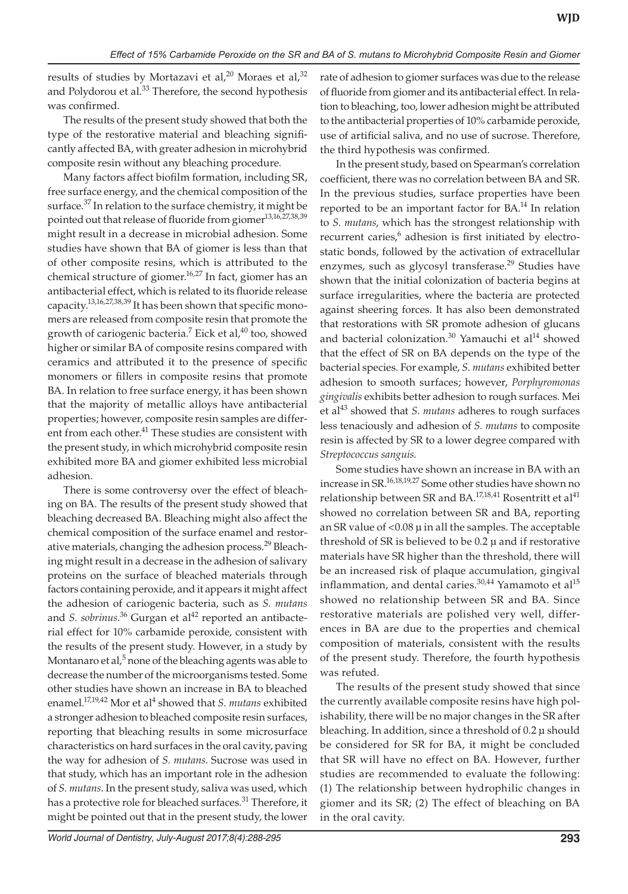results of studies by Mortazavi et al,<sup>20</sup> Moraes et al,<sup>32</sup> and Polydorou et al.<sup>33</sup> Therefore, the second hypothesis was confirmed.

The results of the present study showed that both the type of the restorative material and bleaching significantly affected BA, with greater adhesion in microhybrid composite resin without any bleaching procedure.

Many factors affect biofilm formation, including SR, free surface energy, and the chemical composition of the surface. $37$  In relation to the surface chemistry, it might be pointed out that release of fluoride from giomer<sup>13,16,27,38,39</sup> might result in a decrease in microbial adhesion. Some studies have shown that BA of giomer is less than that of other composite resins, which is attributed to the chemical structure of giomer.<sup>16,27</sup> In fact, giomer has an antibacterial effect, which is related to its fluoride release capacity.<sup>13,16,27,38,39</sup> It has been shown that specific monomers are released from composite resin that promote the growth of cariogenic bacteria.<sup>7</sup> Eick et al,<sup>40</sup> too, showed higher or similar BA of composite resins compared with ceramics and attributed it to the presence of specific monomers or fillers in composite resins that promote BA. In relation to free surface energy, it has been shown that the majority of metallic alloys have antibacterial properties; however, composite resin samples are different from each other.<sup>41</sup> These studies are consistent with the present study, in which microhybrid composite resin exhibited more BA and giomer exhibited less microbial adhesion.

There is some controversy over the effect of bleaching on BA. The results of the present study showed that bleaching decreased BA. Bleaching might also affect the chemical composition of the surface enamel and restorative materials, changing the adhesion process.<sup>29</sup> Bleaching might result in a decrease in the adhesion of salivary proteins on the surface of bleached materials through factors containing peroxide, and it appears it might affect the adhesion of cariogenic bacteria, such as *S. mutans* and *S. sobrinus*.<sup>36</sup> Gurgan et al<sup>42</sup> reported an antibacterial effect for 10% carbamide peroxide, consistent with the results of the present study. However, in a study by Montanaro et al, $^5$  none of the bleaching agents was able to decrease the number of the microorganisms tested. Some other studies have shown an increase in BA to bleached enamel.<sup>17,19,42</sup> Mor et al<sup>4</sup> showed that *S. mutans* exhibited a stronger adhesion to bleached composite resin surfaces, reporting that bleaching results in some microsurface characteristics on hard surfaces in the oral cavity, paving the way for adhesion of *S. mutans*. Sucrose was used in that study, which has an important role in the adhesion of *S. mutans*. In the present study, saliva was used, which has a protective role for bleached surfaces.<sup>31</sup> Therefore, it might be pointed out that in the present study, the lower

rate of adhesion to giomer surfaces was due to the release of fluoride from giomer and its antibacterial effect. In relation to bleaching, too, lower adhesion might be attributed to the antibacterial properties of 10% carbamide peroxide, use of artificial saliva, and no use of sucrose. Therefore, the third hypothesis was confirmed.

In the present study, based on Spearman's correlation coefficient, there was no correlation between BA and SR. In the previous studies, surface properties have been reported to be an important factor for  $BA$ <sup>14</sup> In relation to *S. mutans*, which has the strongest relationship with recurrent caries,<sup>6</sup> adhesion is first initiated by electrostatic bonds, followed by the activation of extracellular enzymes, such as glycosyl transferase.<sup>29</sup> Studies have shown that the initial colonization of bacteria begins at surface irregularities, where the bacteria are protected against sheering forces. It has also been demonstrated that restorations with SR promote adhesion of glucans and bacterial colonization.<sup>30</sup> Yamauchi et al<sup>14</sup> showed that the effect of SR on BA depends on the type of the bacterial species. For example, *S. mutans* exhibited better adhesion to smooth surfaces; however, *Porphyromonas gingivalis* exhibits better adhesion to rough surfaces. Mei et al<sup>43</sup> showed that *S. mutans* adheres to rough surfaces less tenaciously and adhesion of *S. mutans* to composite resin is affected by SR to a lower degree compared with *Streptococcus sanguis*.

Some studies have shown an increase in BA with an increase in SR.16,18,19,27 Some other studies have shown no relationship between SR and BA.<sup>17,18,41</sup> Rosentritt et al<sup>41</sup> showed no correlation between SR and BA, reporting an SR value of <0.08 μ in all the samples. The acceptable threshold of SR is believed to be 0.2 μ and if restorative materials have SR higher than the threshold, there will be an increased risk of plaque accumulation, gingival inflammation, and dental caries. $30,44$  Yamamoto et al<sup>15</sup> showed no relationship between SR and BA. Since restorative materials are polished very well, differences in BA are due to the properties and chemical composition of materials, consistent with the results of the present study. Therefore, the fourth hypothesis was refuted.

The results of the present study showed that since the currently available composite resins have high polishability, there will be no major changes in the SR after bleaching. In addition, since a threshold of 0.2 μ should be considered for SR for BA, it might be concluded that SR will have no effect on BA. However, further studies are recommended to evaluate the following: (1) The relationship between hydrophilic changes in giomer and its SR; (2) The effect of bleaching on BA in the oral cavity.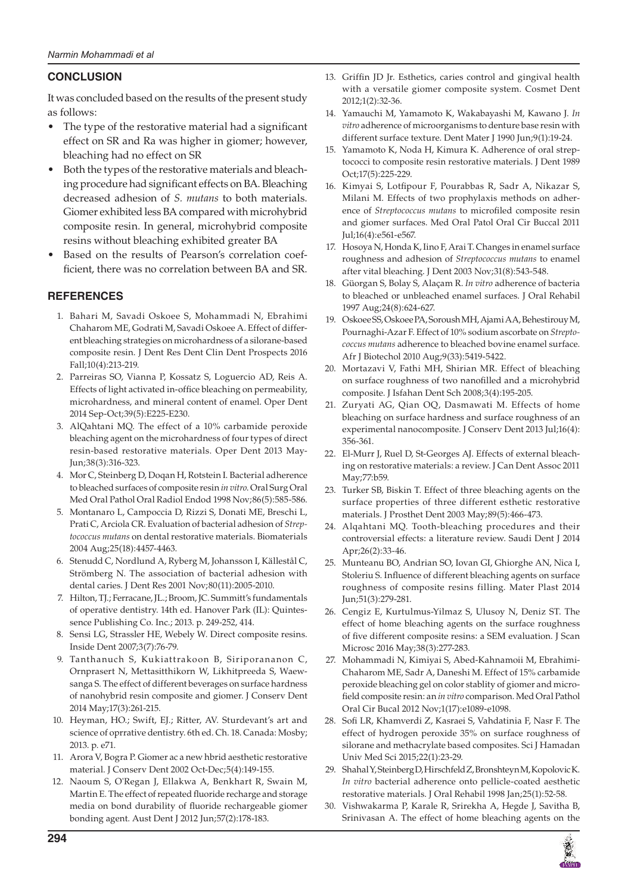## **CONCLUSION**

 It was concluded based on the results of the present study as follows:

- The type of the restorative material had a significant effect on SR and Ra was higher in giomer; however, bleaching had no effect on SR
- Both the types of the restorative materials and bleaching procedure had significant effects on BA. Bleaching decreased adhesion of *S. mutans* to both materials. Giomer exhibited less BA compared with microhybrid composite resin. In general, microhybrid composite resins without bleaching exhibited greater BA
- Based on the results of Pearson's correlation coefficient, there was no correlation between BA and SR.

## **REFERENCES**

- 1. Bahari M, Savadi Oskoee S, Mohammadi N, Ebrahimi Chaharom ME, Godrati M, Savadi Oskoee A. Effect of different bleaching strategies on microhardness of a silorane-based composite resin. J Dent Res Dent Clin Dent Prospects 2016 Fall; 10(4): 213-219.
- 2. Parreiras SO, Vianna P, Kossatz S, Loguercio AD, Reis A. Effects of light activated in-office bleaching on permeability, microhardness, and mineral content of enamel. Oper Dent 2014 Sep-Oct; 39 (5): E225- E230.
- 3. AlQahtani MQ. The effect of a 10% carbamide peroxide bleaching agent on the microhardness of four types of direct resin-based restorative materials. Oper Dent 2013 May-Jun; 38 (3): 316- 323.
- 4. Mor C, Steinberg D, Doqan H, Rotstein I. Bacterial adherence to bleached surfaces of composite resin *in vitro* . Oral Surg Oral Med Oral Pathol Oral Radiol Endod 1998 Nov; 86(5): 585-586.
- 5. Montanaro L, Campoccia D, Rizzi S, Donati ME, Breschi L, Prati C, Arciola CR. Evaluation of bacterial adhesion of *Streptococcus mutans* on dental restorative materials. Biomaterials 2004 Aug; 25 (18): 4457- 4463.
- 6. Stenudd C, Nordlund A, Ryberg M, Johansson I, Källestål C, Strömberg N. The association of bacterial adhesion with dental caries. J Dent Res 2001 Nov; 80(11): 2005-2010.
- 7. Hilton, TJ.; Ferracane, JL.; Broom, JC. Summitt's fundamentals of operative dentistry. 14th ed. Hanover Park (IL): Quintessence Publishing Co. Inc.; 2013. p. 249-252, 414.
- 8. Sensi LG, Strassler HE, Webely W. Direct composite resins. Inside Dent 2007;3(7):76-79.
- 9. Tanthanuch S, Kukiattrakoon B, Siriporananon C, Ornprasert N, Mettasitthikorn W, Likhitpreeda S, Waewsanga S. The effect of different beverages on surface hardness of nanohybrid resin composite and giomer. J Conserv Dent 2014 May; 17(3): 261-215.
- 10. Heyman, HO.; Swift, EJ.; Ritter, AV. Sturdevant's art and science of oprrative dentistry. 6th ed. Ch. 18. Canada: Mosby; 2013. p. e71.
- 11. Arora V, Bogra P. Giomer ac a new hbrid aesthetic restorative material. J Conserv Dent 2002 Oct-Dec; 5(4): 149-155.
- 12. Naoum S, O'Regan J, Ellakwa A, Benkhart R, Swain M, Martin E. The effect of repeated fluoride recharge and storage media on bond durability of fluoride rechargeable giomer bonding agent. Aust Dent J 2012 Jun; 57 (2): 178- 183.
- 13. Griffin JD Jr. Esthetics, caries control and gingival health with a versatile giomer composite system. Cosmet Dent 2012;1(2):32-36.
- 14. Yamauchi M, Yamamoto K, Wakabayashi M, Kawano J. *In vitro* adherence of microorganisms to denture base resin with different surface texture. Dent Mater J 1990 Jun;9(1):19-24.
- 15. Yamamoto K, Noda H, Kimura K. Adherence of oral streptococci to composite resin restorative materials. J Dent 1989 Oct;17(5):225-229.
- 16. Kimyai S, Lotfipour F, Pourabbas R, Sadr A, Nikazar S, Milani M. Effects of two prophylaxis methods on adherence of *Streptococcus mutans* to microfiled composite resin and giomer surfaces. Med Oral Patol Oral Cir Buccal 2011 Jul; 16 (4): e561- e567.
- 17. Hosoya N, Honda K, Iino F, Arai T. Changes in enamel surface roughness and adhesion of *Streptococcus mutans* to enamel after vital bleaching. J Dent 2003 Nov; 31(8): 543-548.
- 18. Güorgan S, Bolay S, Alaçam R. *In vitro* adherence of bacteria to bleached or unbleached enamel surfaces. J Oral Rehabil 1997 Aug; 24 (8): 624- 627.
- 19. Oskoee SS, Oskoee PA, Soroush MH, Ajami AA, Behestirouy M, Pournaghi-Azar F. Effect of 10% sodium ascorbate on *Streptococcus mutans* adherence to bleached bovine enamel surface. Afr J Biotechol 2010 Aug; 9(33): 5419-5422.
- 20. Mortazavi V, Fathi MH, Shirian MR. Effect of bleaching on surface roughness of two nanofilled and a microhybrid composite. J Isfahan Dent Sch 2008;3(4):195-205.
- 21. Zuryati AG, Qian OQ, Dasmawati M. Effects of home bleaching on surface hardness and surface roughness of an experimental nanocomposite. J Conserv Dent 2013 Jul;16(4): 356- 361.
- 22. El-Murr J, Ruel D, St-Georges AJ. Effects of external bleaching on restorative materials: a review. J Can Dent Assoc 2011 May; 77: b59.
- 23. Turker SB, Biskin T. Effect of three bleaching agents on the surface properties of three different esthetic restorative materials. J Prosthet Dent 2003 May; 89 (5): 466- 473.
- 24. Alqahtani MQ. Tooth-bleaching procedures and their controversial effects: a literature review. Saudi Dent J 2014 Apr; 26(2): 33-46.
- 25. Munteanu BO, Andrian SO, Iovan GI, Ghiorghe AN, Nica I, Stoleriu S. Influence of different bleaching agents on surface roughness of composite resins filling. Mater Plast 2014 Jun; 51(3): 279-281.
- 26. Cengiz E, Kurtulmus-Yilmaz S, Ulusoy N, Deniz ST. The effect of home bleaching agents on the surface roughness of five different composite resins: a SEM evaluation. J Scan Microsc 2016 May; 38(3): 277-283.
- 27. Mohammadi N, Kimiyai S, Abed-Kahnamoii M, Ebrahimi-Chaharom ME, Sadr A, Daneshi M. Effect of 15% carbamide peroxide bleaching gel on color stablity of giomer and microfield composite resin: an *in vitro* comparison. Med Oral Pathol Oral Cir Bucal 2012 Nov;1(17):e1089-e1098.
- 28. Sofi LR, Khamverdi Z, Kasraei S, Vahdatinia F, Nasr F. The effect of hydrogen peroxide 35% on surface roughness of silorane and methacrylate based composites. Sci J Hamadan Univ Med Sci 2015;22(1):23-29.
- 29. Shahal Y, Steinberg D, Hirschfeld Z, Bronshteyn M, Kopolovic K. *In vitro* bacterial adherence onto pellicle-coated aesthetic restorative materials. J Oral Rehabil 1998 Jan; 25(1): 52-58.
- 30. Vishwakarma P, Karale R, Srirekha A, Hegde J, Savitha B, Srinivasan A. The effect of home bleaching agents on the